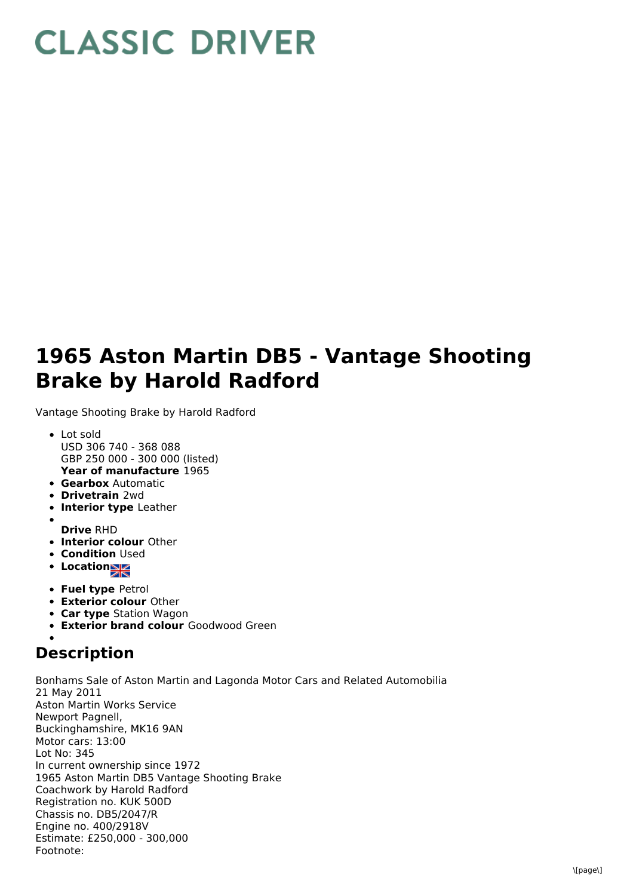## **CLASSIC DRIVER**

## **1965 Aston Martin DB5 - Vantage Shooting Brake by Harold Radford**

Vantage Shooting Brake by Harold Radford

- **Year of manufacture** 1965 Lot sold USD 306 740 - 368 088 GBP 250 000 - 300 000 (listed)
- **Gearbox** Automatic
- **Drivetrain** 2wd
- **Interior type** Leather
- **Drive** RHD
- **Interior colour** Other
- **Condition Used**
- **•** Location
- **Fuel type** Petrol
- **Exterior colour** Other
- **Car type** Station Wagon
- **Exterior brand colour** Goodwood Green

## **Description**

Bonhams Sale of Aston Martin and Lagonda Motor Cars and Related Automobilia 21 May 2011 Aston Martin Works Service Newport Pagnell, Buckinghamshire, MK16 9AN Motor cars: 13:00 Lot No: 345 In current ownership since 1972 1965 Aston Martin DB5 Vantage Shooting Brake Coachwork by Harold Radford Registration no. KUK 500D Chassis no. DB5/2047/R Engine no. 400/2918V Estimate: £250,000 - 300,000 Footnote: